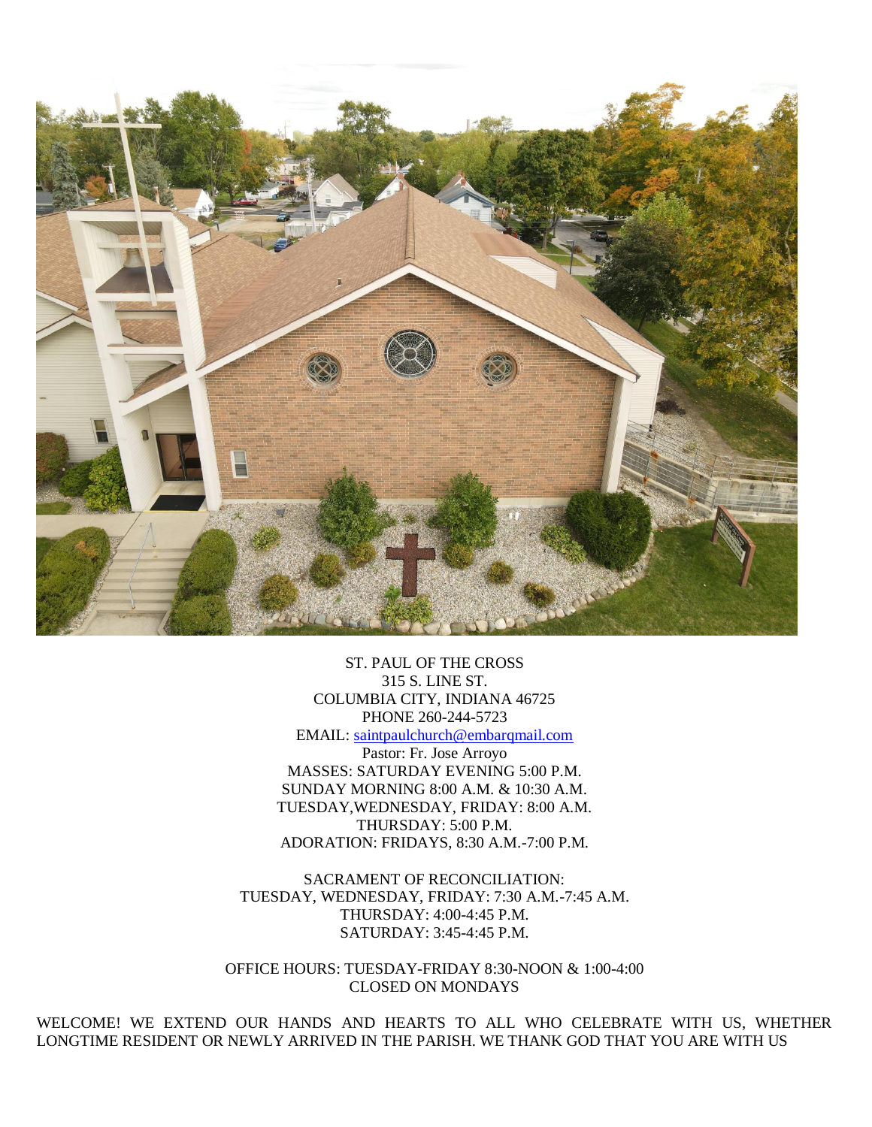

ST. PAUL OF THE CROSS 315 S. LINE ST. COLUMBIA CITY, INDIANA 46725 PHONE 260-244-5723 EMAIL: [saintpaulchurch@embarqmail.com](mailto:saintpaulchurch@embarqmail.com) Pastor: Fr. Jose Arroyo MASSES: SATURDAY EVENING 5:00 P.M. SUNDAY MORNING 8:00 A.M. & 10:30 A.M. TUESDAY,WEDNESDAY, FRIDAY: 8:00 A.M. THURSDAY: 5:00 P.M. ADORATION: FRIDAYS, 8:30 A.M.-7:00 P.M.

SACRAMENT OF RECONCILIATION: TUESDAY, WEDNESDAY, FRIDAY: 7:30 A.M.-7:45 A.M. THURSDAY: 4:00-4:45 P.M. SATURDAY: 3:45-4:45 P.M.

OFFICE HOURS: TUESDAY-FRIDAY 8:30-NOON & 1:00-4:00 CLOSED ON MONDAYS

WELCOME! WE EXTEND OUR HANDS AND HEARTS TO ALL WHO CELEBRATE WITH US, WHETHER LONGTIME RESIDENT OR NEWLY ARRIVED IN THE PARISH. WE THANK GOD THAT YOU ARE WITH US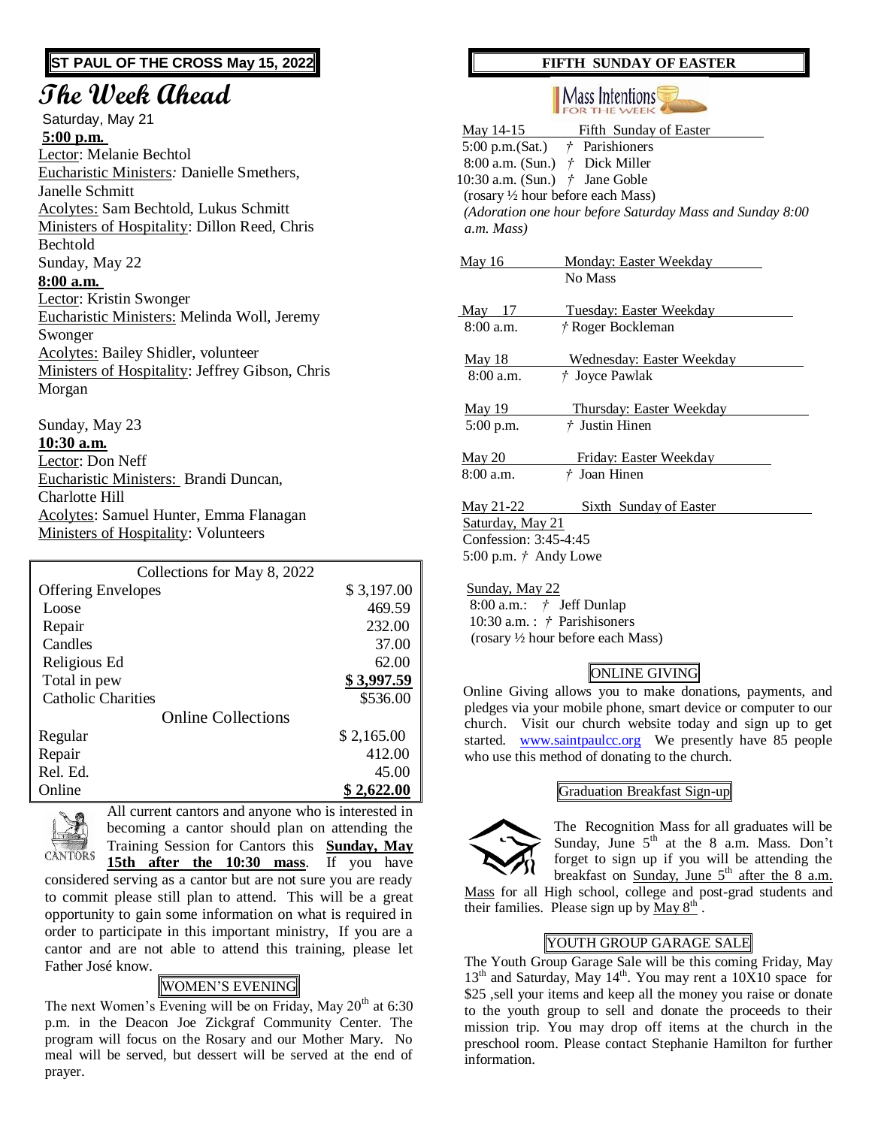### **ST PAUL OF THE CROSS May 15, 2022**

# **The Week Ahead**

Saturday, May 21 **5:00 p.m.** Lector: Melanie Bechtol Eucharistic Ministers*:* Danielle Smethers, Janelle Schmitt Acolytes: Sam Bechtold, Lukus Schmitt Ministers of Hospitality: Dillon Reed, Chris Bechtold Sunday, May 22 **8:00 a.m.**  Lector: Kristin Swonger Eucharistic Ministers: Melinda Woll, Jeremy Swonger Acolytes: Bailey Shidler, volunteer Ministers of Hospitality: Jeffrey Gibson, Chris Morgan

Sunday, May 23 **10:30 a.m.** Lector: Don Neff Eucharistic Ministers: Brandi Duncan, Charlotte Hill Acolytes: Samuel Hunter, Emma Flanagan Ministers of Hospitality: Volunteers

| Collections for May 8, 2022 |            |
|-----------------------------|------------|
| <b>Offering Envelopes</b>   | \$3,197.00 |
| Loose                       | 469.59     |
| Repair                      | 232.00     |
| Candles                     | 37.00      |
| Religious Ed                | 62.00      |
| Total in pew                | \$3,997.59 |
| <b>Catholic Charities</b>   | \$536.00   |
| <b>Online Collections</b>   |            |
| Regular                     | \$2,165.00 |
| Repair                      | 412.00     |
| Rel. Ed.                    | 45.00      |
| Online                      | \$2,622.00 |



All current cantors and anyone who is interested in becoming a cantor should plan on attending the Training Session for Cantors this **Sunday, May 15th after the 10:30 mass**. If you have

considered serving as a cantor but are not sure you are ready to commit please still plan to attend. This will be a great opportunity to gain some information on what is required in order to participate in this important ministry, If you are a cantor and are not able to attend this training, please let Father José know.

## WOMEN'S EVENING

The next Women's Evening will be on Friday, May  $20<sup>th</sup>$  at 6:30 p.m. in the Deacon Joe Zickgraf Community Center. The program will focus on the Rosary and our Mother Mary. No meal will be served, but dessert will be served at the end of prayer.

### **FIFTH SUNDAY OF EASTER**

#### || Mass Intentions **FOR THE WEEK**

| May 14-15 Fifth Sunday of Easter                         |  |
|----------------------------------------------------------|--|
| 5:00 p.m.(Sat.) $\dot{\tau}$ Parishioners                |  |
| 8:00 a.m. (Sun.) $\dot{\tau}$ Dick Miller                |  |
| 10:30 a.m. (Sun.) $\dot{\tau}$ Jane Goble                |  |
| (rosary 1/2 hour before each Mass)                       |  |
| (Adoration one hour before Saturday Mass and Sunday 8:00 |  |
| a.m. Mass)                                               |  |
|                                                          |  |
| <b>May 16</b><br><b>Monday: Easter Weekday</b>           |  |
| No Mass                                                  |  |
|                                                          |  |
| May $17$<br>Tuesday: Easter Weekday                      |  |
| $8:00$ a.m.<br>† Roger Bockleman                         |  |
| <u>May 18</u><br>Wednesday: Easter Weekday               |  |
| † Joyce Pawlak<br>8:00a.m.                               |  |
|                                                          |  |
| <b>May 19</b><br><b>Thursday: Easter Weekday</b>         |  |
| $†$ Justin Hinen<br>5:00 p.m.                            |  |
|                                                          |  |
| <u>May 20</u><br>Friday: Easter Weekday                  |  |
| $8:00$ a.m.<br>† Joan Hinen                              |  |
| May 21-22<br><b>Sixth Sunday of Easter</b>               |  |
| Saturday, May 21                                         |  |
| Confession: 3:45-4:45                                    |  |
| 5:00 p.m. $\dot{\tau}$ Andy Lowe                         |  |

 Sunday, May 22 8:00 a.m.: *†* Jeff Dunlap 10:30 a.m. : *†* Parishisoners (rosary ½ hour before each Mass)

## ONLINE GIVING

 Online Giving allows you to make donations, payments, and pledges via your mobile phone, smart device or computer to our church. Visit our church website today and sign up to get started. [www.saintpaulcc.org](http://www.saintpaulcc.org/) We presently have 85 people who use this method of donating to the church.

#### Graduation Breakfast Sign-up



The Recognition Mass for all graduates will be Sunday, June  $5<sup>th</sup>$  at the 8 a.m. Mass. Don't forget to sign up if you will be attending the breakfast on Sunday, June  $5<sup>th</sup>$  after the 8 a.m.

Mass for all High school, college and post-grad students and their families. Please sign up by  $\overline{May 8^{th}}$ .

### YOUTH GROUP GARAGE SALE

The Youth Group Garage Sale will be this coming Friday, May 13<sup>th</sup> and Saturday, May 14<sup>th</sup>. You may rent a 10X10 space for \$25 ,sell your items and keep all the money you raise or donate to the youth group to sell and donate the proceeds to their mission trip. You may drop off items at the church in the preschool room. Please contact Stephanie Hamilton for further information.